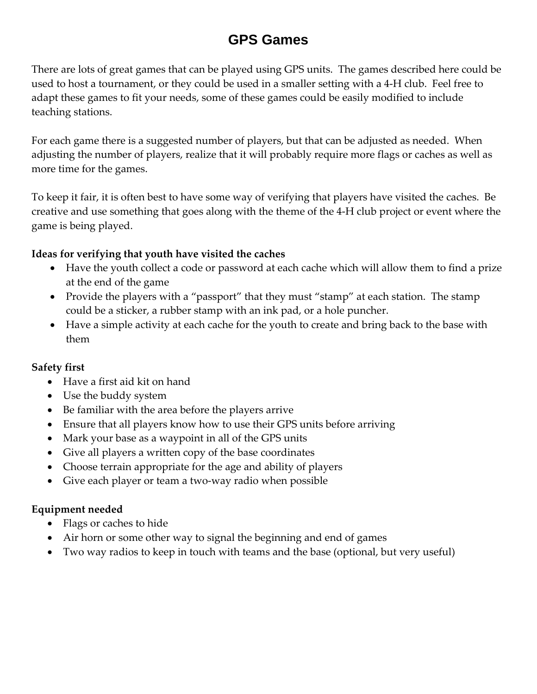# **GPS Games**

There are lots of great games that can be played using GPS units. The games described here could be used to host a tournament, or they could be used in a smaller setting with a 4‐H club. Feel free to adapt these games to fit your needs, some of these games could be easily modified to include teaching stations.

For each game there is a suggested number of players, but that can be adjusted as needed. When adjusting the number of players, realize that it will probably require more flags or caches as well as more time for the games.

To keep it fair, it is often best to have some way of verifying that players have visited the caches. Be creative and use something that goes along with the theme of the 4‐H club project or event where the game is being played.

#### **Ideas for verifying that youth have visited the caches**

- Have the youth collect a code or password at each cache which will allow them to find a prize at the end of the game
- Provide the players with a "passport" that they must "stamp" at each station. The stamp could be a sticker, a rubber stamp with an ink pad, or a hole puncher.
- Have a simple activity at each cache for the youth to create and bring back to the base with them

### **Safety first**

- Have a first aid kit on hand
- Use the buddy system
- Be familiar with the area before the players arrive
- Ensure that all players know how to use their GPS units before arriving
- Mark your base as a waypoint in all of the GPS units
- Give all players a written copy of the base coordinates
- Choose terrain appropriate for the age and ability of players
- Give each player or team a two-way radio when possible

#### **Equipment needed**

- Flags or caches to hide
- Air horn or some other way to signal the beginning and end of games
- Two way radios to keep in touch with teams and the base (optional, but very useful)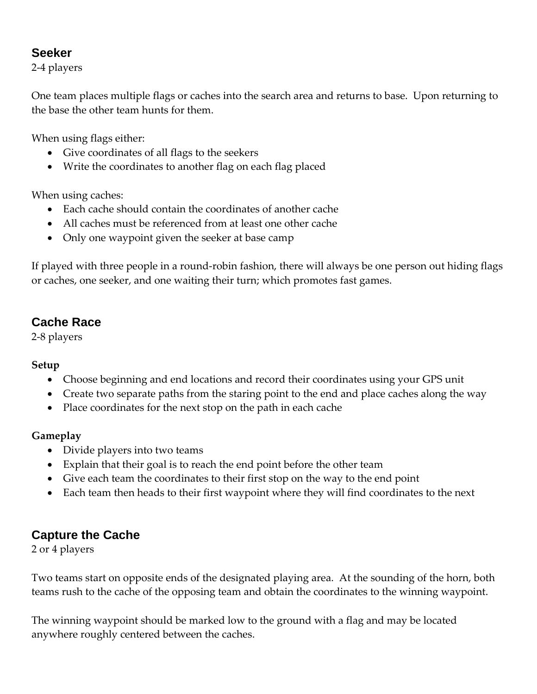### **Seeker**

2‐4 players

One team places multiple flags or caches into the search area and returns to base. Upon returning to the base the other team hunts for them.

When using flags either:

- Give coordinates of all flags to the seekers
- Write the coordinates to another flag on each flag placed

When using caches:

- Each cache should contain the coordinates of another cache
- All caches must be referenced from at least one other cache
- Only one waypoint given the seeker at base camp

If played with three people in a round‐robin fashion, there will always be one person out hiding flags or caches, one seeker, and one waiting their turn; which promotes fast games.

# **Cache Race**

2‐8 players

#### **Setup**

- Choose beginning and end locations and record their coordinates using your GPS unit
- Create two separate paths from the staring point to the end and place caches along the way
- Place coordinates for the next stop on the path in each cache

### **Gameplay**

- Divide players into two teams
- Explain that their goal is to reach the end point before the other team
- Give each team the coordinates to their first stop on the way to the end point
- Each team then heads to their first waypoint where they will find coordinates to the next

# **Capture the Cache**

2 or 4 players

Two teams start on opposite ends of the designated playing area. At the sounding of the horn, both teams rush to the cache of the opposing team and obtain the coordinates to the winning waypoint.

The winning waypoint should be marked low to the ground with a flag and may be located anywhere roughly centered between the caches.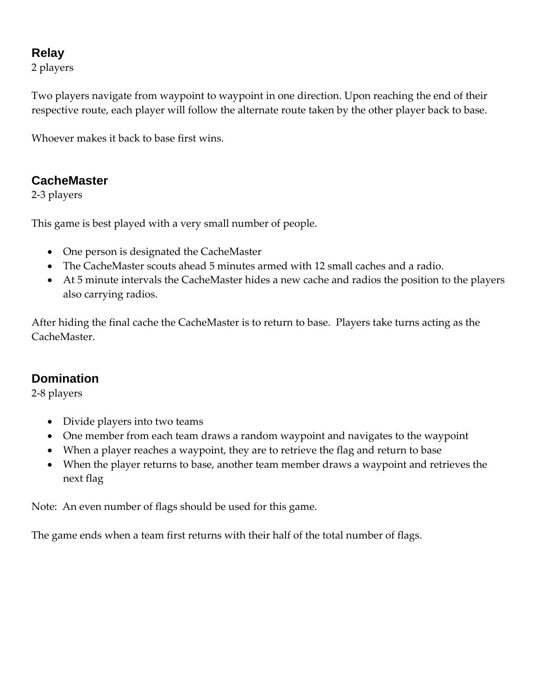# **Relay**

2 players

Two players navigate from waypoint to waypoint in one direction. Upon reaching the end of their respective route, each player will follow the alternate route taken by the other player back to base.

Whoever makes it back to base first wins.

# **CacheMaster**

2‐3 players

This game is best played with a very small number of people.

- One person is designated the CacheMaster
- The CacheMaster scouts ahead 5 minutes armed with 12 small caches and a radio.
- At 5 minute intervals the CacheMaster hides a new cache and radios the position to the players also carrying radios.

After hiding the final cache the CacheMaster is to return to base. Players take turns acting as the CacheMaster.

# **Domination**

2‐8 players

- Divide players into two teams
- One member from each team draws a random waypoint and navigates to the waypoint
- When a player reaches a waypoint, they are to retrieve the flag and return to base
- When the player returns to base, another team member draws a waypoint and retrieves the next flag

Note: An even number of flags should be used for this game.

The game ends when a team first returns with their half of the total number of flags.